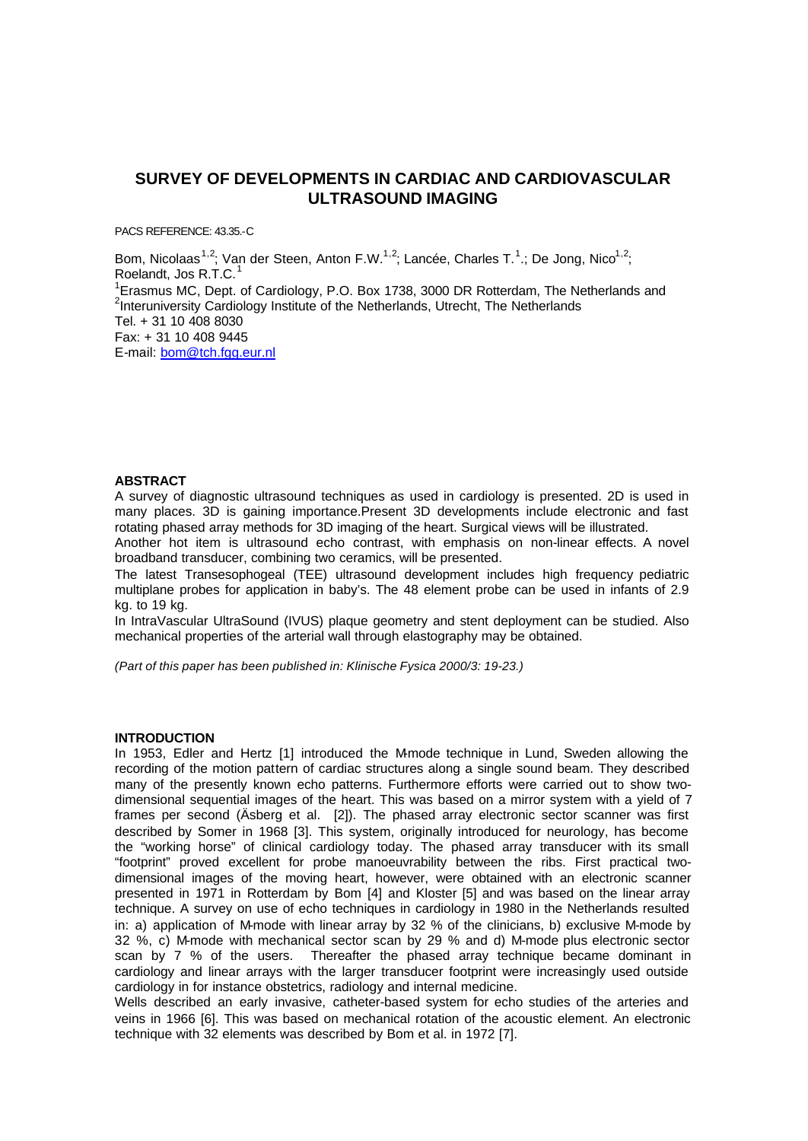# **SURVEY OF DEVELOPMENTS IN CARDIAC AND CARDIOVASCULAR ULTRASOUND IMAGING**

PACS REFERENCE: 43.35.-C

Bom, Nicolaas<sup>1,2</sup>; Van der Steen, Anton F.W.<sup>1,2</sup>; Lancée, Charles T.<sup>1</sup>.; De Jong, Nico<sup>1,2</sup>; Roelandt, Jos R.T.C.<sup>1</sup> <sup>1</sup> Erasmus MC, Dept. of Cardiology, P.O. Box 1738, 3000 DR Rotterdam, The Netherlands and <sup>2</sup>Interuniversity Cardiology Institute of the Netherlands, Utrecht, The Netherlands Tel. + 31 10 408 8030 Fax: + 31 10 408 9445 E-mail: bom@tch.fgg.eur.nl

# **ABSTRACT**

A survey of diagnostic ultrasound techniques as used in cardiology is presented. 2D is used in many places. 3D is gaining importance.Present 3D developments include electronic and fast rotating phased array methods for 3D imaging of the heart. Surgical views will be illustrated.

Another hot item is ultrasound echo contrast, with emphasis on non-linear effects. A novel broadband transducer, combining two ceramics, will be presented.

The latest Transesophogeal (TEE) ultrasound development includes high frequency pediatric multiplane probes for application in baby's. The 48 element probe can be used in infants of 2.9 kg. to 19 kg.

In IntraVascular UltraSound (IVUS) plaque geometry and stent deployment can be studied. Also mechanical properties of the arterial wall through elastography may be obtained.

*(Part of this paper has been published in: Klinische Fysica 2000/3: 19-23.)*

#### **INTRODUCTION**

In 1953. Edler and Hertz [1] introduced the M-mode technique in Lund. Sweden allowing the recording of the motion pattern of cardiac structures along a single sound beam. They described many of the presently known echo patterns. Furthermore efforts were carried out to show twodimensional sequential images of the heart. This was based on a mirror system with a yield of 7 frames per second (Äsberg et al. [2]). The phased array electronic sector scanner was first described by Somer in 1968 [3]. This system, originally introduced for neurology, has become the "working horse" of clinical cardiology today. The phased array transducer with its small "footprint" proved excellent for probe manoeuvrability between the ribs. First practical twodimensional images of the moving heart, however, were obtained with an electronic scanner presented in 1971 in Rotterdam by Bom [4] and Kloster [5] and was based on the linear array technique. A survey on use of echo techniques in cardiology in 1980 in the Netherlands resulted in: a) application of M-mode with linear array by 32 % of the clinicians, b) exclusive M-mode by 32 %, c) M-mode with mechanical sector scan by 29 % and d) M-mode plus electronic sector scan by 7 % of the users. Thereafter the phased array technique became dominant in cardiology and linear arrays with the larger transducer footprint were increasingly used outside cardiology in for instance obstetrics, radiology and internal medicine.

Wells described an early invasive, catheter-based system for echo studies of the arteries and veins in 1966 [6]. This was based on mechanical rotation of the acoustic element. An electronic technique with 32 elements was described by Bom et al. in 1972 [7].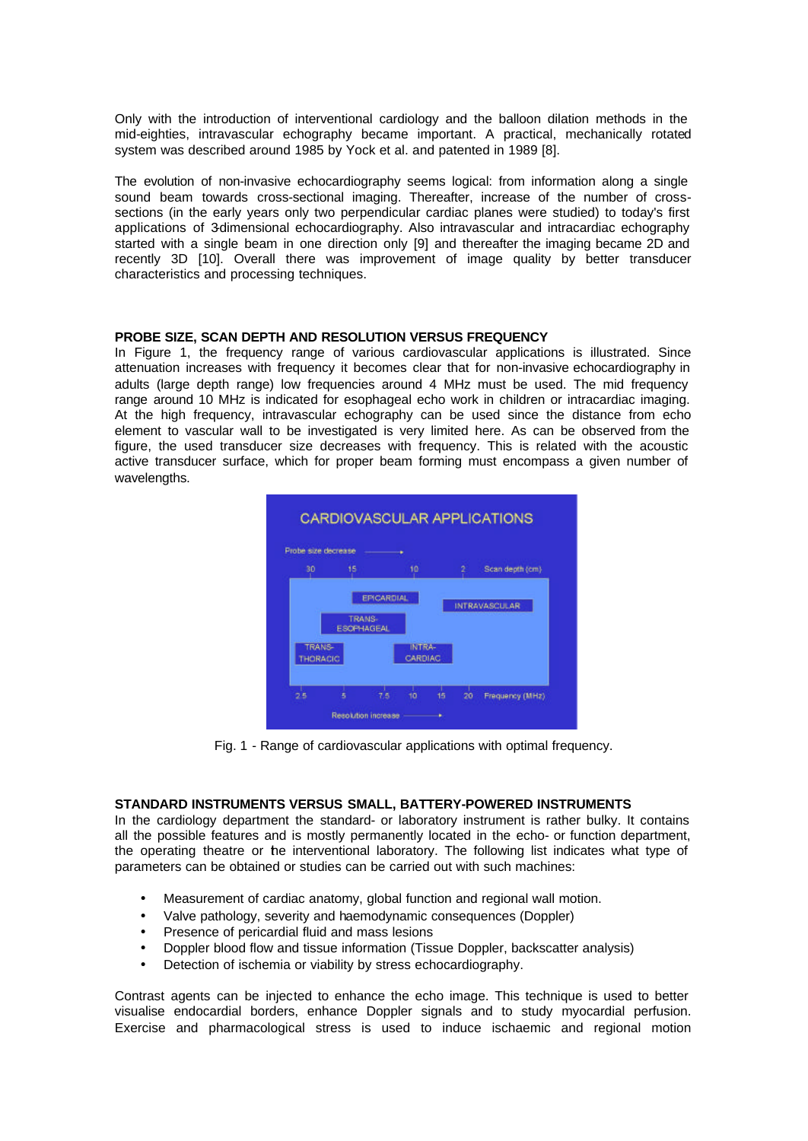Only with the introduction of interventional cardiology and the balloon dilation methods in the mid-eighties, intravascular echography became important. A practical, mechanically rotated system was described around 1985 by Yock et al. and patented in 1989 [8].

The evolution of non-invasive echocardiography seems logical: from information along a single sound beam towards cross-sectional imaging. Thereafter, increase of the number of crosssections (in the early years only two perpendicular cardiac planes were studied) to today's first applications of 3-dimensional echocardiography. Also intravascular and intracardiac echography started with a single beam in one direction only [9] and thereafter the imaging became 2D and recently 3D [10]. Overall there was improvement of image quality by better transducer characteristics and processing techniques.

## **PROBE SIZE, SCAN DEPTH AND RESOLUTION VERSUS FREQUENCY**

In Figure 1, the frequency range of various cardiovascular applications is illustrated. Since attenuation increases with frequency it becomes clear that for non-invasive echocardiography in adults (large depth range) low frequencies around 4 MHz must be used. The mid frequency range around 10 MHz is indicated for esophageal echo work in children or intracardiac imaging. At the high frequency, intravascular echography can be used since the distance from echo element to vascular wall to be investigated is very limited here. As can be observed from the figure, the used transducer size decreases with frequency. This is related with the acoustic active transducer surface, which for proper beam forming must encompass a given number of wavelengths.



Fig. 1 - Range of cardiovascular applications with optimal frequency.

#### **STANDARD INSTRUMENTS VERSUS SMALL, BATTERY-POWERED INSTRUMENTS**

In the cardiology department the standard- or laboratory instrument is rather bulky. It contains all the possible features and is mostly permanently located in the echo- or function department, the operating theatre or the interventional laboratory. The following list indicates what type of parameters can be obtained or studies can be carried out with such machines:

- Measurement of cardiac anatomy, global function and regional wall motion.
- Valve pathology, severity and haemodynamic consequences (Doppler)
- Presence of pericardial fluid and mass lesions
- Doppler blood flow and tissue information (Tissue Doppler, backscatter analysis)
- Detection of ischemia or viability by stress echocardiography.

Contrast agents can be injected to enhance the echo image. This technique is used to better visualise endocardial borders, enhance Doppler signals and to study myocardial perfusion. Exercise and pharmacological stress is used to induce ischaemic and regional motion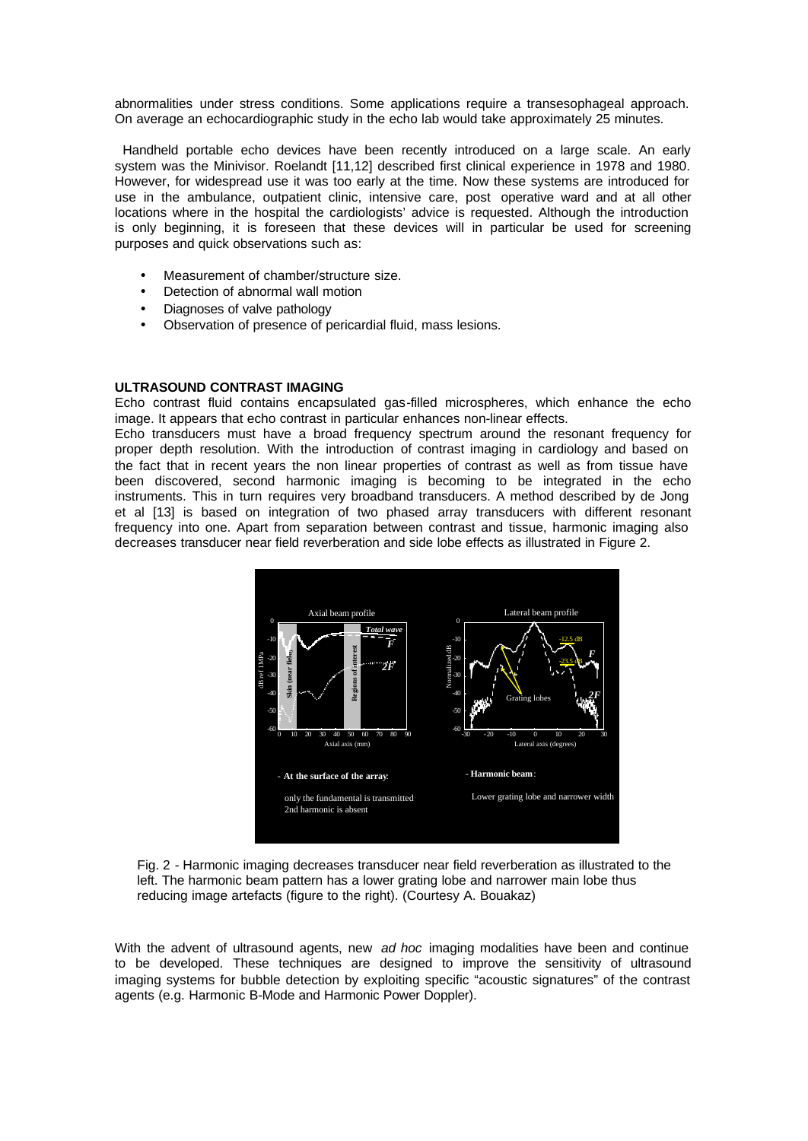abnormalities under stress conditions. Some applications require a transesophageal approach. On average an echocardiographic study in the echo lab would take approximately 25 minutes.

 Handheld portable echo devices have been recently introduced on a large scale. An early system was the Minivisor. Roelandt [11,12] described first clinical experience in 1978 and 1980. However, for widespread use it was too early at the time. Now these systems are introduced for use in the ambulance, outpatient clinic, intensive care, post operative ward and at all other locations where in the hospital the cardiologists' advice is requested. Although the introduction is only beginning, it is foreseen that these devices will in particular be used for screening purposes and quick observations such as:

- Measurement of chamber/structure size.
- Detection of abnormal wall motion
- Diagnoses of valve pathology
- Observation of presence of pericardial fluid, mass lesions.

# **ULTRASOUND CONTRAST IMAGING**

Echo contrast fluid contains encapsulated gas-filled microspheres, which enhance the echo image. It appears that echo contrast in particular enhances non-linear effects.

Echo transducers must have a broad frequency spectrum around the resonant frequency for proper depth resolution. With the introduction of contrast imaging in cardiology and based on the fact that in recent years the non linear properties of contrast as well as from tissue have been discovered, second harmonic imaging is becoming to be integrated in the echo instruments. This in turn requires very broadband transducers. A method described by de Jong et al [13] is based on integration of two phased array transducers with different resonant frequency into one. Apart from separation between contrast and tissue, harmonic imaging also decreases transducer near field reverberation and side lobe effects as illustrated in Figure 2.



Fig. 2 - Harmonic imaging decreases transducer near field reverberation as illustrated to the left. The harmonic beam pattern has a lower grating lobe and narrower main lobe thus

With the advent of ultrasound agents, new *ad hoc* imaging modalities have been and continue to be developed. These techniques are designed to improve the sensitivity of ultrasound imaging systems for bubble detection by exploiting specific "acoustic signatures" of the contrast agents (e.g. Harmonic B-Mode and Harmonic Power Doppler).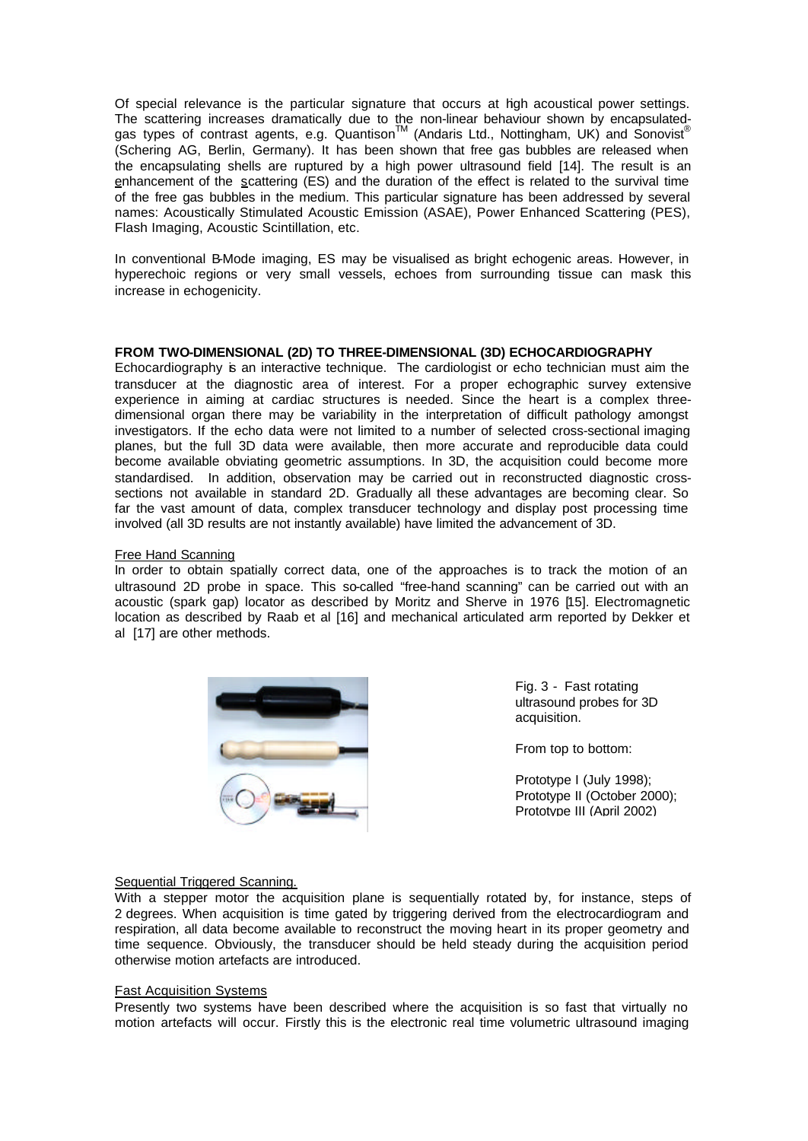Of special relevance is the particular signature that occurs at high acoustical power settings. The scattering increases dramatically due to the non-linear behaviour shown by encapsulatedgas types of contrast agents, e.g. Quantison™ (Andaris Ltd., Nottingham, UK) and Sonovist<sup>®</sup> (Schering AG, Berlin, Germany). It has been shown that free gas bubbles are released when the encapsulating shells are ruptured by a high power ultrasound field [14]. The result is an enhancement of the scattering (ES) and the duration of the effect is related to the survival time of the free gas bubbles in the medium. This particular signature has been addressed by several names: Acoustically Stimulated Acoustic Emission (ASAE), Power Enhanced Scattering (PES), Flash Imaging, Acoustic Scintillation, etc.

In conventional B-Mode imaging, ES may be visualised as bright echogenic areas. However, in hyperechoic regions or very small vessels, echoes from surrounding tissue can mask this increase in echogenicity.

# **FROM TWO-DIMENSIONAL (2D) TO THREE-DIMENSIONAL (3D) ECHOCARDIOGRAPHY**

Echocardiography is an interactive technique. The cardiologist or echo technician must aim the transducer at the diagnostic area of interest. For a proper echographic survey extensive experience in aiming at cardiac structures is needed. Since the heart is a complex threedimensional organ there may be variability in the interpretation of difficult pathology amongst investigators. If the echo data were not limited to a number of selected cross-sectional imaging planes, but the full 3D data were available, then more accurate and reproducible data could become available obviating geometric assumptions. In 3D, the acquisition could become more standardised. In addition, observation may be carried out in reconstructed diagnostic crosssections not available in standard 2D. Gradually all these advantages are becoming clear. So far the vast amount of data, complex transducer technology and display post processing time involved (all 3D results are not instantly available) have limited the advancement of 3D.

## Free Hand Scanning

In order to obtain spatially correct data, one of the approaches is to track the motion of an ultrasound 2D probe in space. This so-called "free-hand scanning" can be carried out with an acoustic (spark gap) locator as described by Moritz and Sherve in 1976 [15]. Electromagnetic location as described by Raab et al [16] and mechanical articulated arm reported by Dekker et al [17] are other methods.



Fig. 3 - Fast rotating ultrasound probes for 3D acquisition.

From top to bottom:

Prototype I (July 1998); Prototype II (October 2000); Prototype III (April 2002)

#### Sequential Triggered Scanning.

With a stepper motor the acquisition plane is sequentially rotated by, for instance, steps of 2 degrees. When acquisition is time gated by triggering derived from the electrocardiogram and respiration, all data become available to reconstruct the moving heart in its proper geometry and time sequence. Obviously, the transducer should be held steady during the acquisition period otherwise motion artefacts are introduced.

#### Fast Acquisition Systems

Presently two systems have been described where the acquisition is so fast that virtually no motion artefacts will occur. Firstly this is the electronic real time volumetric ultrasound imaging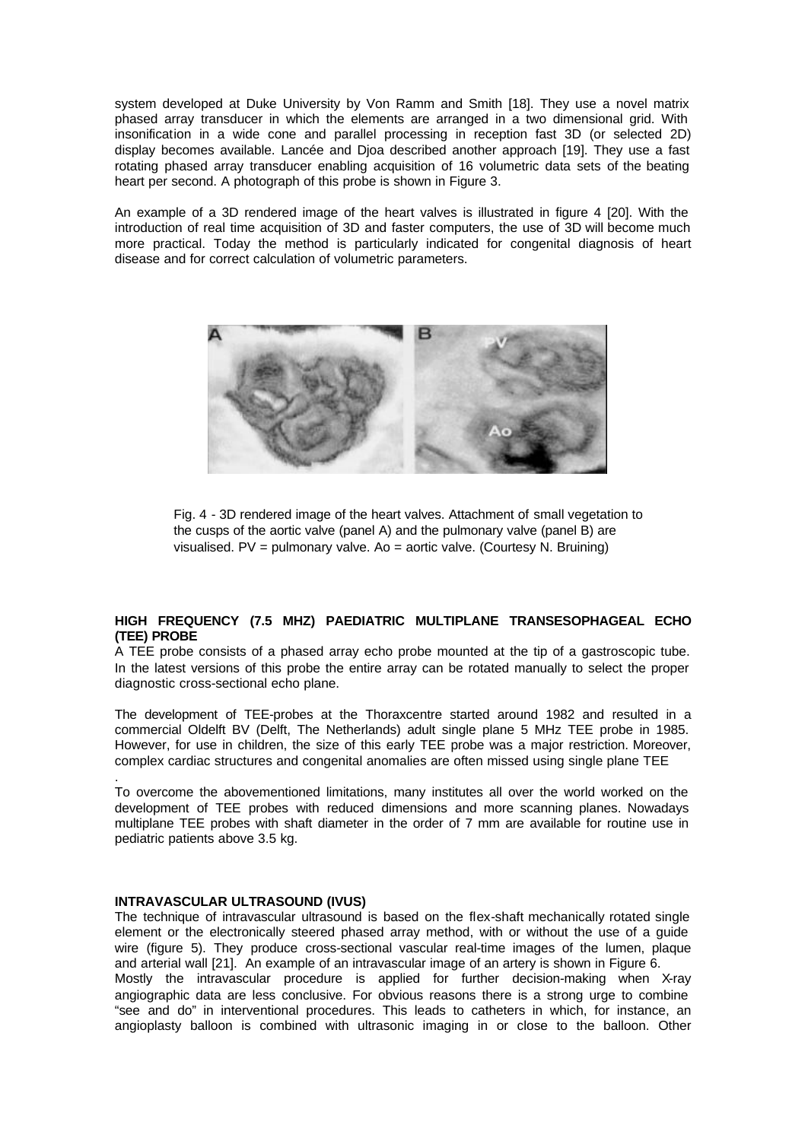system developed at Duke University by Von Ramm and Smith [18]. They use a novel matrix phased array transducer in which the elements are arranged in a two dimensional grid. With insonification in a wide cone and parallel processing in reception fast 3D (or selected 2D) display becomes available. Lancée and Djoa described another approach [19]. They use a fast rotating phased array transducer enabling acquisition of 16 volumetric data sets of the beating heart per second. A photograph of this probe is shown in Figure 3.

An example of a 3D rendered image of the heart valves is illustrated in figure 4 [20]. With the introduction of real time acquisition of 3D and faster computers, the use of 3D will become much more practical. Today the method is particularly indicated for congenital diagnosis of heart disease and for correct calculation of volumetric parameters.



Fig. 4 - 3D rendered image of the heart valves. Attachment of small vegetation to the cusps of the aortic valve (panel A) and the pulmonary valve (panel B) are visualised. PV = pulmonary valve. Ao = aortic valve. (Courtesy N. Bruining)

# **HIGH FREQUENCY (7.5 MHZ) PAEDIATRIC MULTIPLANE TRANSESOPHAGEAL ECHO (TEE) PROBE**

A TEE probe consists of a phased array echo probe mounted at the tip of a gastroscopic tube. In the latest versions of this probe the entire array can be rotated manually to select the proper diagnostic cross-sectional echo plane.

The development of TEE-probes at the Thoraxcentre started around 1982 and resulted in a commercial Oldelft BV (Delft, The Netherlands) adult single plane 5 MHz TEE probe in 1985. However, for use in children, the size of this early TEE probe was a major restriction. Moreover, complex cardiac structures and congenital anomalies are often missed using single plane TEE

To overcome the abovementioned limitations, many institutes all over the world worked on the development of TEE probes with reduced dimensions and more scanning planes. Nowadays multiplane TEE probes with shaft diameter in the order of 7 mm are available for routine use in pediatric patients above 3.5 kg.

#### **INTRAVASCULAR ULTRASOUND (IVUS)**

.

The technique of intravascular ultrasound is based on the flex-shaft mechanically rotated single element or the electronically steered phased array method, with or without the use of a guide wire (figure 5). They produce cross-sectional vascular real-time images of the lumen, plaque and arterial wall [21]. An example of an intravascular image of an artery is shown in Figure 6. Mostly the intravascular procedure is applied for further decision-making when X-ray angiographic data are less conclusive. For obvious reasons there is a strong urge to combine "see and do" in interventional procedures. This leads to catheters in which, for instance, an angioplasty balloon is combined with ultrasonic imaging in or close to the balloon. Other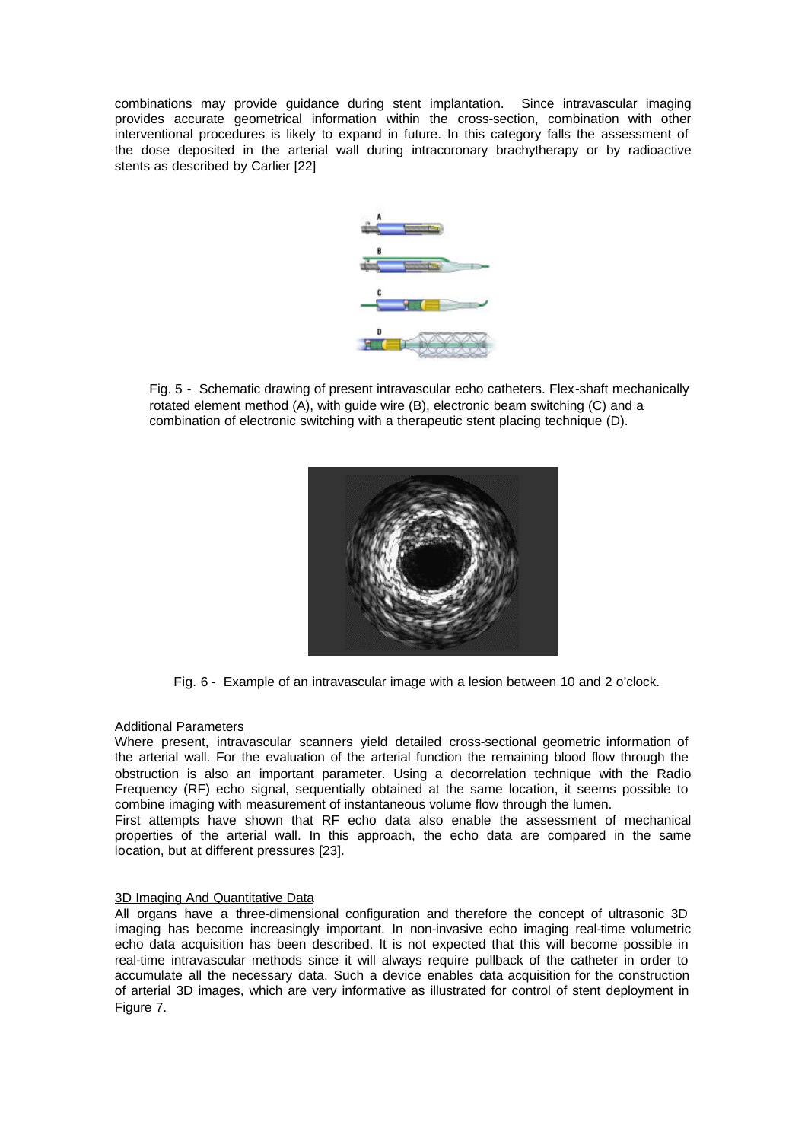combinations may provide guidance during stent implantation. Since intravascular imaging provides accurate geometrical information within the cross-section, combination with other interventional procedures is likely to expand in future. In this category falls the assessment of the dose deposited in the arterial wall during intracoronary brachytherapy or by radioactive stents as described by Carlier [22]



Fig. 5 - Schematic drawing of present intravascular echo catheters. Flex-shaft mechanically rotated element method (A), with guide wire (B), electronic beam switching (C) and a combination of electronic switching with a therapeutic stent placing technique (D).



Fig. 6 - Example of an intravascular image with a lesion between 10 and 2 o'clock.

## Additional Parameters

Where present, intravascular scanners yield detailed cross-sectional geometric information of the arterial wall. For the evaluation of the arterial function the remaining blood flow through the obstruction is also an important parameter. Using a decorrelation technique with the Radio Frequency (RF) echo signal, sequentially obtained at the same location, it seems possible to combine imaging with measurement of instantaneous volume flow through the lumen.

First attempts have shown that RF echo data also enable the assessment of mechanical properties of the arterial wall. In this approach, the echo data are compared in the same location, but at different pressures [23].

## 3D Imaging And Quantitative Data

All organs have a three-dimensional configuration and therefore the concept of ultrasonic 3D imaging has become increasingly important. In non-invasive echo imaging real-time volumetric echo data acquisition has been described. It is not expected that this will become possible in real-time intravascular methods since it will always require pullback of the catheter in order to accumulate all the necessary data. Such a device enables data acquisition for the construction of arterial 3D images, which are very informative as illustrated for control of stent deployment in Figure 7.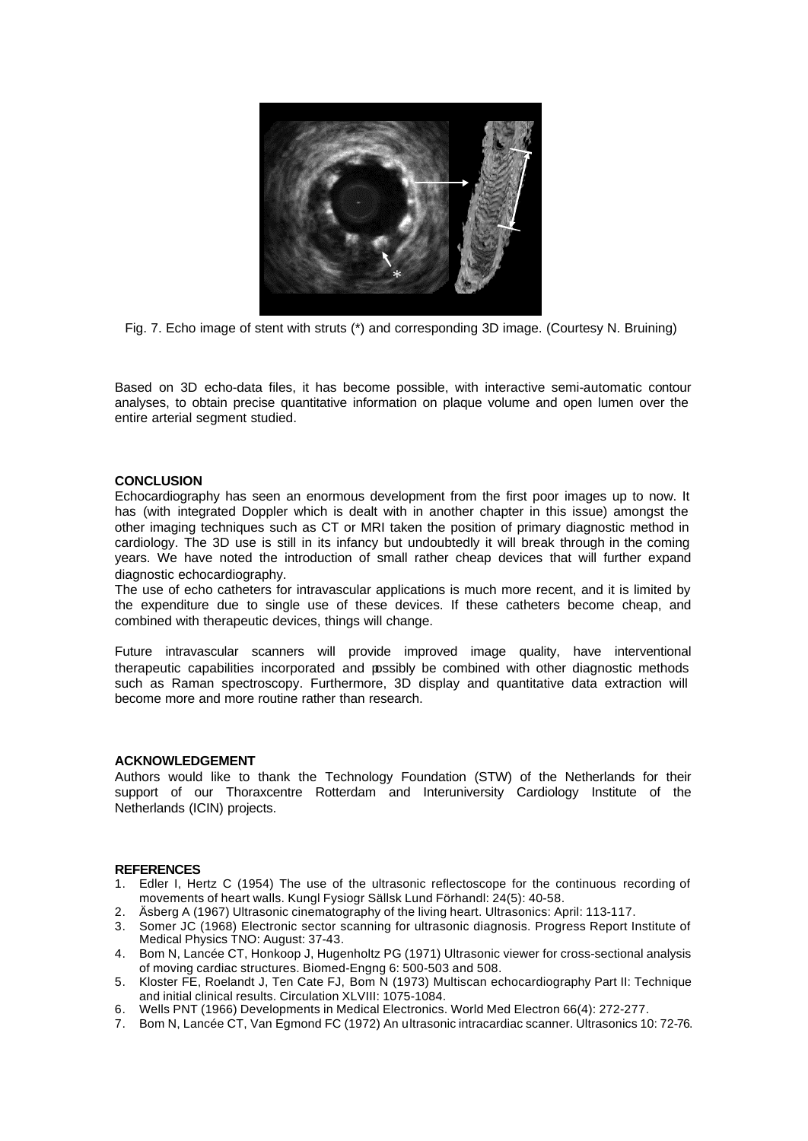

Fig. 7. Echo image of stent with struts (\*) and corresponding 3D image. (Courtesy N. Bruining)

Based on 3D echo-data files, it has become possible, with interactive semi-automatic contour analyses, to obtain precise quantitative information on plaque volume and open lumen over the entire arterial segment studied.

## **CONCLUSION**

Echocardiography has seen an enormous development from the first poor images up to now. It has (with integrated Doppler which is dealt with in another chapter in this issue) amongst the other imaging techniques such as CT or MRI taken the position of primary diagnostic method in cardiology. The 3D use is still in its infancy but undoubtedly it will break through in the coming years. We have noted the introduction of small rather cheap devices that will further expand diagnostic echocardiography.

The use of echo catheters for intravascular applications is much more recent, and it is limited by the expenditure due to single use of these devices. If these catheters become cheap, and combined with therapeutic devices, things will change.

Future intravascular scanners will provide improved image quality, have interventional therapeutic capabilities incorporated and possibly be combined with other diagnostic methods such as Raman spectroscopy. Furthermore, 3D display and quantitative data extraction will become more and more routine rather than research.

#### **ACKNOWLEDGEMENT**

Authors would like to thank the Technology Foundation (STW) of the Netherlands for their support of our Thoraxcentre Rotterdam and Interuniversity Cardiology Institute of the Netherlands (ICIN) projects.

#### **REFERENCES**

- 1. Edler I, Hertz C (1954) The use of the ultrasonic reflectoscope for the continuous recording of movements of heart walls. Kungl Fysiogr Sällsk Lund Förhandl: 24(5): 40-58.
- 2. Äsberg A (1967) Ultrasonic cinematography of the living heart. Ultrasonics: April: 113-117.
- 3. Somer JC (1968) Electronic sector scanning for ultrasonic diagnosis. Progress Report Institute of Medical Physics TNO: August: 37-43.
- 4. Bom N, Lancée CT, Honkoop J, Hugenholtz PG (1971) Ultrasonic viewer for cross-sectional analysis of moving cardiac structures. Biomed-Engng 6: 500-503 and 508.
- 5. Kloster FE, Roelandt J, Ten Cate FJ, Bom N (1973) Multiscan echocardiography Part II: Technique and initial clinical results. Circulation XLVIII: 1075-1084.
- 6. Wells PNT (1966) Developments in Medical Electronics. World Med Electron 66(4): 272-277.
- 7. Bom N, Lancée CT, Van Egmond FC (1972) An ultrasonic intracardiac scanner. Ultrasonics 10: 72-76.